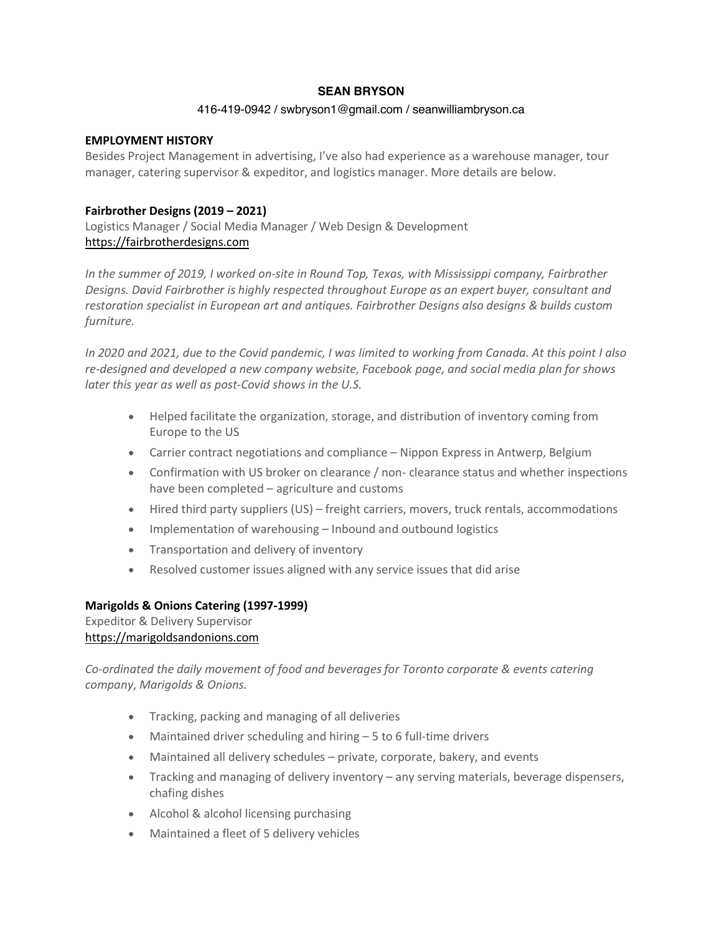# **SEAN BRYSON**

#### 416-419-0942 / swbryson1@gmail.com / seanwilliambryson.ca

#### **EMPLOYMENT HISTORY**

Besides Project Management in advertising, I've also had experience as a warehouse manager, tour manager, catering supervisor & expeditor, and logistics manager. More details are below.

# **Fairbrother Designs (2019 – 2021)**

Logistics Manager / Social Media Manager / Web Design & Development https://fairbrotherdesigns.com

*In the summer of 2019, I worked on-site in Round Top, Texas, with Mississippi company, Fairbrother Designs. David Fairbrother is highly respected throughout Europe as an expert buyer, consultant and restoration specialist in European art and antiques. Fairbrother Designs also designs & builds custom furniture.*

In 2020 and 2021, due to the Covid pandemic, I was limited to working from Canada. At this point I also *re-designed and developed a new company website, Facebook page, and social media plan for shows later this year as well as post-Covid shows in the U.S.*

- Helped facilitate the organization, storage, and distribution of inventory coming from Europe to the US
- Carrier contract negotiations and compliance Nippon Express in Antwerp, Belgium
- Confirmation with US broker on clearance / non- clearance status and whether inspections have been completed – agriculture and customs
- Hired third party suppliers (US) freight carriers, movers, truck rentals, accommodations
- Implementation of warehousing Inbound and outbound logistics
- Transportation and delivery of inventory
- Resolved customer issues aligned with any service issues that did arise

# **Marigolds & Onions Catering (1997-1999)**

Expeditor & Delivery Supervisor https://marigoldsandonions.com

*Co-ordinated the daily movement of food and beverages for Toronto corporate & events catering company*, *Marigolds & Onions.*

- Tracking, packing and managing of all deliveries
- Maintained driver scheduling and hiring 5 to 6 full-time drivers
- Maintained all delivery schedules private, corporate, bakery, and events
- Tracking and managing of delivery inventory any serving materials, beverage dispensers, chafing dishes
- Alcohol & alcohol licensing purchasing
- Maintained a fleet of 5 delivery vehicles